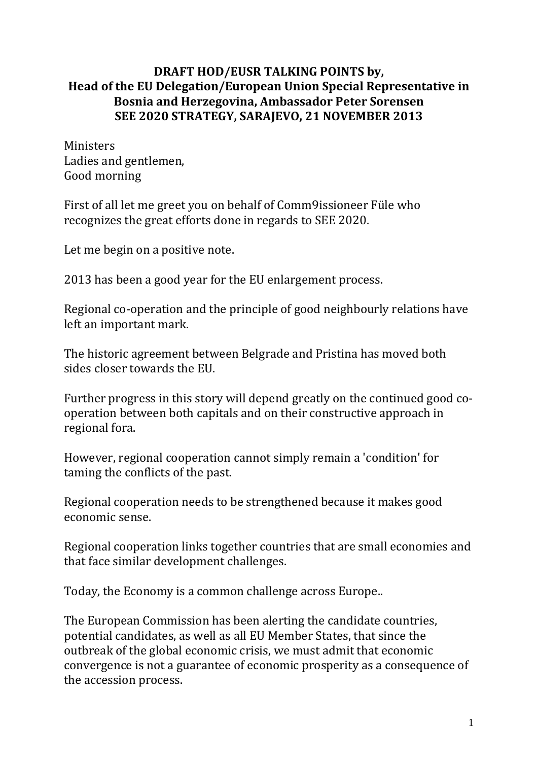## **DRAFT HOD/EUSR TALKING POINTS by, Head of the EU Delegation/European Union Special Representative in Bosnia and Herzegovina, Ambassador Peter Sorensen SEE 2020 STRATEGY, SARAJEVO, 21 NOVEMBER 2013**

Ministers Ladies and gentlemen, Good morning

First of all let me greet you on behalf of Comm9issioneer Füle who recognizes the great efforts done in regards to SEE 2020.

Let me begin on a positive note.

2013 has been a good year for the EU enlargement process.

Regional co-operation and the principle of good neighbourly relations have left an important mark.

The historic agreement between Belgrade and Pristina has moved both sides closer towards the EU.

Further progress in this story will depend greatly on the continued good cooperation between both capitals and on their constructive approach in regional fora.

However, regional cooperation cannot simply remain a 'condition' for taming the conflicts of the past.

Regional cooperation needs to be strengthened because it makes good economic sense.

Regional cooperation links together countries that are small economies and that face similar development challenges.

Today, the Economy is a common challenge across Europe..

The European Commission has been alerting the candidate countries, potential candidates, as well as all EU Member States, that since the outbreak of the global economic crisis, we must admit that economic convergence is not a guarantee of economic prosperity as a consequence of the accession process.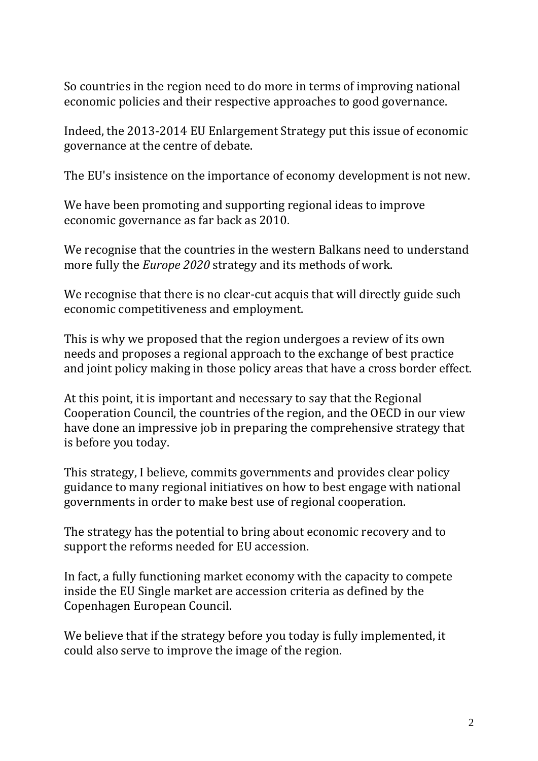So countries in the region need to do more in terms of improving national economic policies and their respective approaches to good governance.

Indeed, the 2013-2014 EU Enlargement Strategy put this issue of economic governance at the centre of debate.

The EU's insistence on the importance of economy development is not new.

We have been promoting and supporting regional ideas to improve economic governance as far back as 2010.

We recognise that the countries in the western Balkans need to understand more fully the *Europe 2020* strategy and its methods of work.

We recognise that there is no clear-cut acquis that will directly guide such economic competitiveness and employment.

This is why we proposed that the region undergoes a review of its own needs and proposes a regional approach to the exchange of best practice and joint policy making in those policy areas that have a cross border effect.

At this point, it is important and necessary to say that the Regional Cooperation Council, the countries of the region, and the OECD in our view have done an impressive job in preparing the comprehensive strategy that is before you today.

This strategy, I believe, commits governments and provides clear policy guidance to many regional initiatives on how to best engage with national governments in order to make best use of regional cooperation.

The strategy has the potential to bring about economic recovery and to support the reforms needed for EU accession.

In fact, a fully functioning market economy with the capacity to compete inside the EU Single market are accession criteria as defined by the Copenhagen European Council.

We believe that if the strategy before you today is fully implemented, it could also serve to improve the image of the region.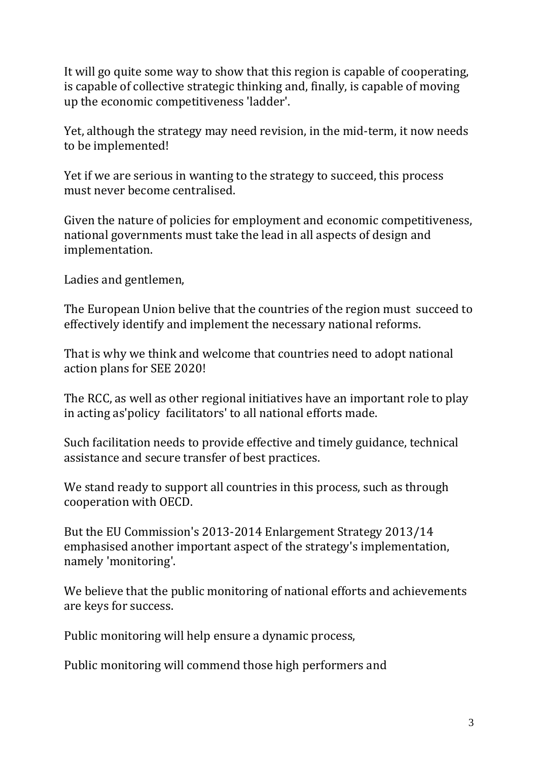It will go quite some way to show that this region is capable of cooperating, is capable of collective strategic thinking and, finally, is capable of moving up the economic competitiveness 'ladder'.

Yet, although the strategy may need revision, in the mid-term, it now needs to be implemented!

Yet if we are serious in wanting to the strategy to succeed, this process must never become centralised.

Given the nature of policies for employment and economic competitiveness, national governments must take the lead in all aspects of design and implementation.

Ladies and gentlemen,

The European Union belive that the countries of the region must succeed to effectively identify and implement the necessary national reforms.

That is why we think and welcome that countries need to adopt national action plans for SEE 2020!

The RCC, as well as other regional initiatives have an important role to play in acting as'policy facilitators' to all national efforts made.

Such facilitation needs to provide effective and timely guidance, technical assistance and secure transfer of best practices.

We stand ready to support all countries in this process, such as through cooperation with OECD.

But the EU Commission's 2013-2014 Enlargement Strategy 2013/14 emphasised another important aspect of the strategy's implementation, namely 'monitoring'.

We believe that the public monitoring of national efforts and achievements are keys for success.

Public monitoring will help ensure a dynamic process,

Public monitoring will commend those high performers and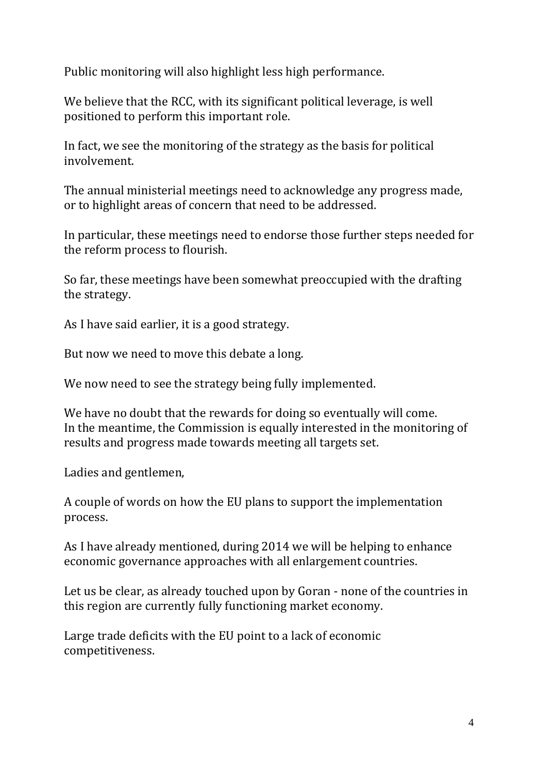Public monitoring will also highlight less high performance.

We believe that the RCC, with its significant political leverage, is well positioned to perform this important role.

In fact, we see the monitoring of the strategy as the basis for political involvement.

The annual ministerial meetings need to acknowledge any progress made, or to highlight areas of concern that need to be addressed.

In particular, these meetings need to endorse those further steps needed for the reform process to flourish.

So far, these meetings have been somewhat preoccupied with the drafting the strategy.

As I have said earlier, it is a good strategy.

But now we need to move this debate a long.

We now need to see the strategy being fully implemented.

We have no doubt that the rewards for doing so eventually will come. In the meantime, the Commission is equally interested in the monitoring of results and progress made towards meeting all targets set.

Ladies and gentlemen,

A couple of words on how the EU plans to support the implementation process.

As I have already mentioned, during 2014 we will be helping to enhance economic governance approaches with all enlargement countries.

Let us be clear, as already touched upon by Goran - none of the countries in this region are currently fully functioning market economy.

Large trade deficits with the EU point to a lack of economic competitiveness.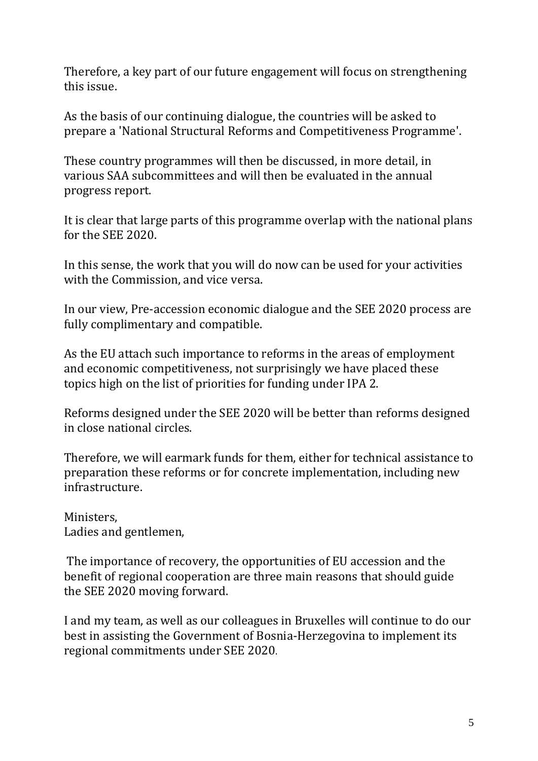Therefore, a key part of our future engagement will focus on strengthening this issue.

As the basis of our continuing dialogue, the countries will be asked to prepare a 'National Structural Reforms and Competitiveness Programme'.

These country programmes will then be discussed, in more detail, in various SAA subcommittees and will then be evaluated in the annual progress report.

It is clear that large parts of this programme overlap with the national plans for the SEE 2020.

In this sense, the work that you will do now can be used for your activities with the Commission, and vice versa.

In our view, Pre-accession economic dialogue and the SEE 2020 process are fully complimentary and compatible.

As the EU attach such importance to reforms in the areas of employment and economic competitiveness, not surprisingly we have placed these topics high on the list of priorities for funding under IPA 2.

Reforms designed under the SEE 2020 will be better than reforms designed in close national circles.

Therefore, we will earmark funds for them, either for technical assistance to preparation these reforms or for concrete implementation, including new infrastructure.

Ministers, Ladies and gentlemen,

The importance of recovery, the opportunities of EU accession and the benefit of regional cooperation are three main reasons that should guide the SEE 2020 moving forward.

I and my team, as well as our colleagues in Bruxelles will continue to do our best in assisting the Government of Bosnia-Herzegovina to implement its regional commitments under SEE 2020.